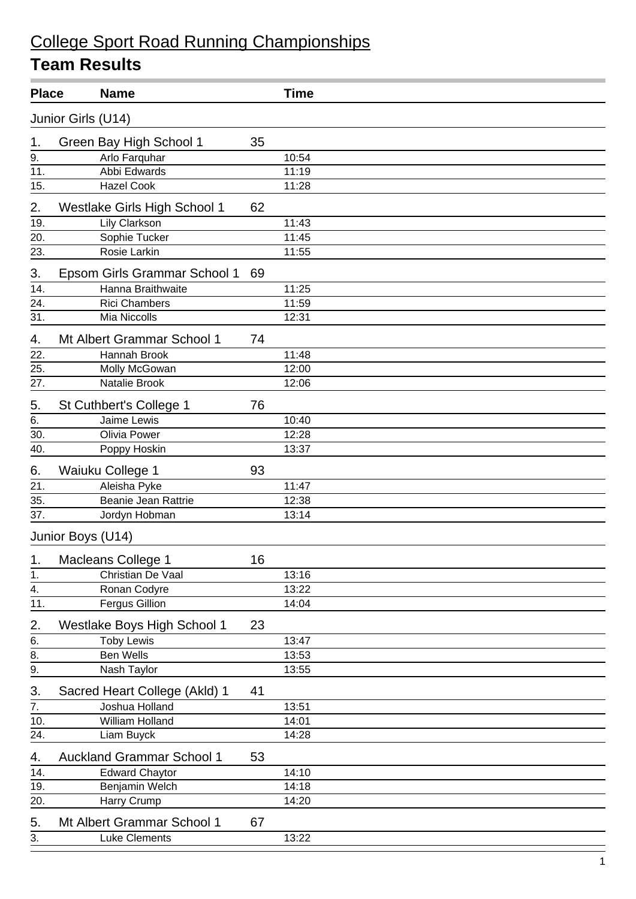| <b>Place</b>     |                    | <b>Name</b>                                    |    | <b>Time</b> |  |  |  |
|------------------|--------------------|------------------------------------------------|----|-------------|--|--|--|
|                  | Junior Girls (U14) |                                                |    |             |  |  |  |
| 1.               |                    | Green Bay High School 1                        | 35 |             |  |  |  |
| 9.               |                    | Arlo Farquhar                                  |    | 10:54       |  |  |  |
| 11.              |                    | Abbi Edwards                                   |    | 11:19       |  |  |  |
| 15.              |                    | <b>Hazel Cook</b>                              |    | 11:28       |  |  |  |
| 2.               |                    | Westlake Girls High School 1                   | 62 |             |  |  |  |
| 19.              |                    | Lily Clarkson                                  |    | 11:43       |  |  |  |
| 20.              |                    | Sophie Tucker                                  |    | 11:45       |  |  |  |
| 23.              |                    | Rosie Larkin                                   |    | 11:55       |  |  |  |
| 3.               |                    | Epsom Girls Grammar School 1                   | 69 |             |  |  |  |
| 14.              |                    | Hanna Braithwaite                              |    | 11:25       |  |  |  |
| 24.              |                    | <b>Rici Chambers</b>                           |    | 11:59       |  |  |  |
| 31.              |                    | Mia Niccolls                                   |    | 12:31       |  |  |  |
| 4.               |                    | Mt Albert Grammar School 1                     | 74 |             |  |  |  |
| 22.              |                    | Hannah Brook                                   |    | 11:48       |  |  |  |
| 25.              |                    | Molly McGowan                                  |    | 12:00       |  |  |  |
| 27.              |                    | Natalie Brook                                  |    | 12:06       |  |  |  |
| 5.               |                    | St Cuthbert's College 1                        | 76 |             |  |  |  |
| 6.               |                    | Jaime Lewis                                    |    | 10:40       |  |  |  |
| 30.              |                    | Olivia Power                                   |    | 12:28       |  |  |  |
| 40.              |                    | Poppy Hoskin                                   |    | 13:37       |  |  |  |
| 6.               | Waiuku College 1   |                                                | 93 |             |  |  |  |
| 21.              |                    | Aleisha Pyke                                   |    | 11:47       |  |  |  |
| 35.              |                    | Beanie Jean Rattrie                            |    | 12:38       |  |  |  |
| 37.              |                    | Jordyn Hobman                                  |    | 13:14       |  |  |  |
|                  | Junior Boys (U14)  |                                                |    |             |  |  |  |
| 1.               |                    | Macleans College 1                             | 16 |             |  |  |  |
| $\mathbf 1$ .    |                    | Christian De Vaal                              |    | 13:16       |  |  |  |
| $\overline{4}$ . |                    | Ronan Codyre                                   |    | 13:22       |  |  |  |
| 11.              |                    | <b>Fergus Gillion</b>                          |    | 14:04       |  |  |  |
| 2.               |                    | Westlake Boys High School 1                    | 23 |             |  |  |  |
| 6.               |                    | <b>Toby Lewis</b>                              |    | 13:47       |  |  |  |
| $\frac{1}{9}$ .  |                    | <b>Ben Wells</b>                               |    | 13:53       |  |  |  |
| 3.               |                    | Nash Taylor<br>Sacred Heart College (Akld) 1   | 41 | 13:55       |  |  |  |
| $\overline{7}$ . |                    | Joshua Holland                                 |    | 13:51       |  |  |  |
| 10.              |                    | William Holland                                |    | 14:01       |  |  |  |
| 24.              |                    |                                                |    | 14:28       |  |  |  |
|                  |                    | Liam Buyck<br><b>Auckland Grammar School 1</b> | 53 |             |  |  |  |
| 4.               |                    |                                                |    |             |  |  |  |
| 14.              |                    | <b>Edward Chaytor</b>                          |    | 14:10       |  |  |  |
| 19.              |                    | Benjamin Welch                                 |    | 14:18       |  |  |  |
| 20.              |                    | Harry Crump                                    |    | 14:20       |  |  |  |
| 5.               |                    | Mt Albert Grammar School 1                     | 67 |             |  |  |  |
| 3.               |                    | Luke Clements                                  |    | 13:22       |  |  |  |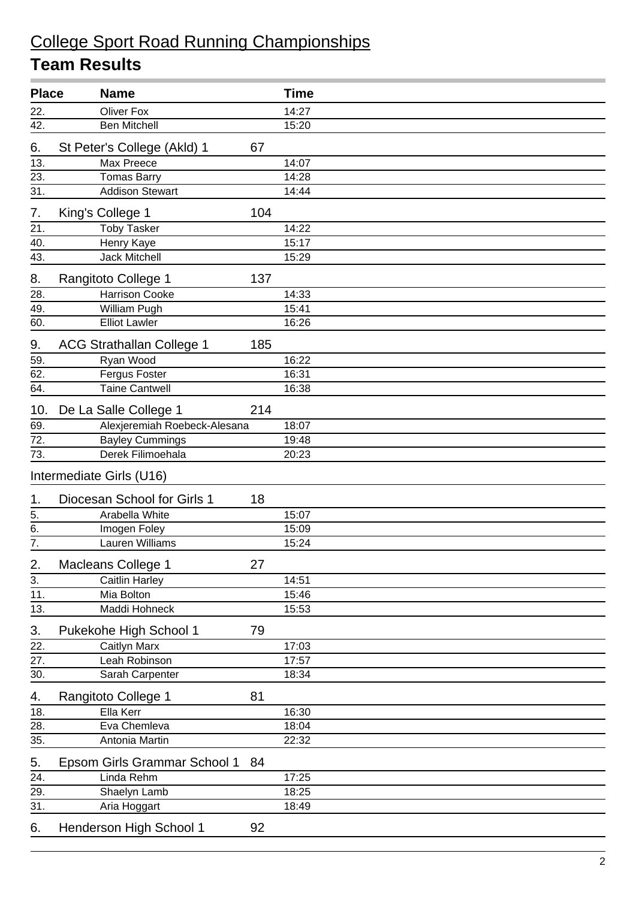| <b>Place</b>      | <b>Name</b>                      |     | <b>Time</b> |
|-------------------|----------------------------------|-----|-------------|
| 22.               | <b>Oliver Fox</b>                |     | 14:27       |
| 42.               | <b>Ben Mitchell</b>              |     | 15:20       |
| 6.                | St Peter's College (Akld) 1      | 67  |             |
| 13.               | Max Preece                       |     | 14:07       |
| 23.               | <b>Tomas Barry</b>               |     | 14:28       |
| 31.               | <b>Addison Stewart</b>           |     | 14:44       |
| 7.                | King's College 1                 | 104 |             |
| 21.               | <b>Toby Tasker</b>               |     | 14:22       |
| 40.               | Henry Kaye                       |     | 15:17       |
| 43.               | Jack Mitchell                    |     | 15:29       |
| 8.                | Rangitoto College 1              | 137 |             |
| 28.               | <b>Harrison Cooke</b>            |     | 14:33       |
| 49.               | William Pugh                     |     | 15:41       |
| 60.               | <b>Elliot Lawler</b>             |     | 16:26       |
| 9.                | <b>ACG Strathallan College 1</b> | 185 |             |
| 59.               | Ryan Wood                        |     | 16:22       |
| 62.               | Fergus Foster                    |     | 16:31       |
| 64.               | <b>Taine Cantwell</b>            |     | 16:38       |
| 10.               | De La Salle College 1            | 214 |             |
| 69.               | Alexjeremiah Roebeck-Alesana     |     | 18:07       |
| $\overline{72.}$  | <b>Bayley Cummings</b>           |     | 19:48       |
| 73.               | Derek Filimoehala                |     | 20:23       |
|                   | Intermediate Girls (U16)         |     |             |
| 1.                | Diocesan School for Girls 1      | 18  |             |
| 5.                | Arabella White                   |     | 15:07       |
| 6.                | Imogen Foley                     |     | 15:09       |
| $\overline{7}$ .  | Lauren Williams                  |     | 15:24       |
| 2.                | Macleans College 1               | 27  |             |
| 3.                | <b>Caitlin Harley</b>            |     | 14:51       |
| 11.               | Mia Bolton                       |     | 15:46       |
| 13.               | Maddi Hohneck                    |     | 15:53       |
| 3.                | Pukekohe High School 1           | 79  |             |
| 22.               | Caitlyn Marx                     |     | 17:03       |
| 27.               | Leah Robinson                    |     | 17:57       |
| 30.               | Sarah Carpenter                  |     | 18:34       |
| 4.                | Rangitoto College 1              | 81  |             |
| 18.               | Ella Kerr                        |     | 16:30       |
| 28.               | Eva Chemleva                     |     | 18:04       |
| 35.               | Antonia Martin                   |     | 22:32       |
| 5.                | Epsom Girls Grammar School 1     | 84  |             |
| 24.               | Linda Rehm                       |     | 17:25       |
| 29.               | Shaelyn Lamb                     |     | 18:25       |
| $\overline{31}$ . | Aria Hoggart                     |     | 18:49       |
| 6.                | Henderson High School 1          | 92  |             |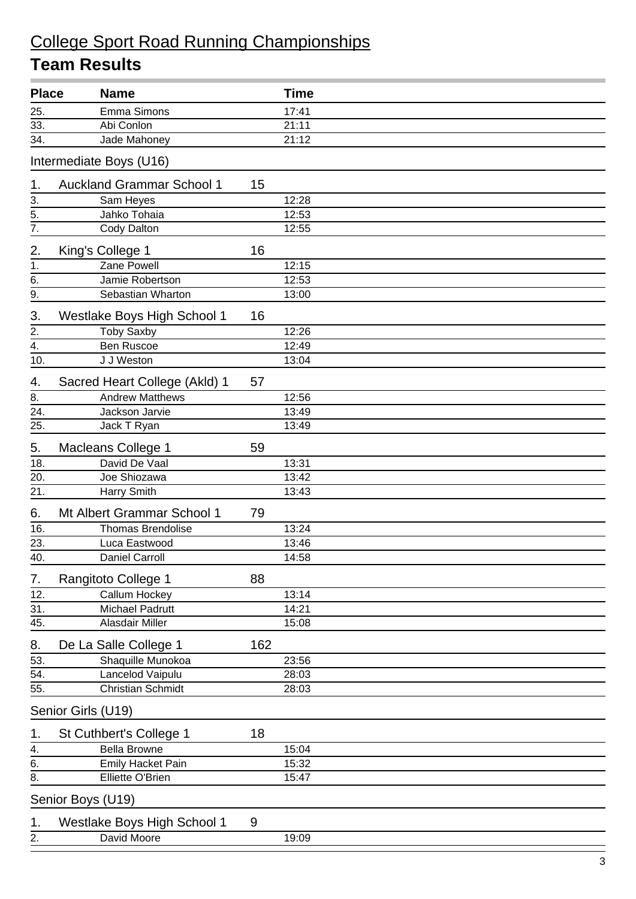| <b>Place</b>      | <b>Name</b>                      |     | <b>Time</b> |
|-------------------|----------------------------------|-----|-------------|
| 25.               | Emma Simons                      |     | 17:41       |
| 33.               | Abi Conlon                       |     | 21:11       |
| 34.               | Jade Mahoney                     |     | 21:12       |
|                   | Intermediate Boys (U16)          |     |             |
| 1.                | <b>Auckland Grammar School 1</b> | 15  |             |
| 3.                | Sam Heyes                        |     | 12:28       |
| $\overline{5}$ .  | Jahko Tohaia                     |     | 12:53       |
| $\overline{7}$ .  | Cody Dalton                      |     | 12:55       |
| 2.                | King's College 1                 | 16  |             |
| 1.                | Zane Powell                      |     | 12:15       |
| 6.                | Jamie Robertson                  |     | 12:53       |
| 9.                | Sebastian Wharton                |     | 13:00       |
| 3.                | Westlake Boys High School 1      | 16  |             |
| 2.                | <b>Toby Saxby</b>                |     | 12:26       |
| $\overline{4}$ .  | <b>Ben Ruscoe</b>                |     | 12:49       |
| 10.               | J J Weston                       |     | 13:04       |
| 4.                | Sacred Heart College (Akld) 1    | 57  |             |
| 8.                | <b>Andrew Matthews</b>           |     | 12:56       |
| 24.               | Jackson Jarvie                   |     | 13:49       |
| 25.               | Jack T Ryan                      |     | 13:49       |
| 5.                | Macleans College 1               | 59  |             |
| 18.               | David De Vaal                    |     | 13:31       |
| 20.               | Joe Shiozawa                     |     | 13:42       |
| 21.               | Harry Smith                      |     | 13:43       |
| 6.                | Mt Albert Grammar School 1       | 79  |             |
| 16.               | <b>Thomas Brendolise</b>         |     | 13:24       |
| 23.               | Luca Eastwood                    |     | 13:46       |
| 40.               | Daniel Carroll                   |     | 14:58       |
| 7.                | Rangitoto College 1              | 88  |             |
| $\overline{12}$ . | Callum Hockey                    |     | 13:14       |
| $\overline{31}$ . | <b>Michael Padrutt</b>           |     | 14:21       |
| 45.               | Alasdair Miller                  |     | 15:08       |
| 8.                | De La Salle College 1            | 162 |             |
| 53.               | Shaquille Munokoa                |     | 23:56       |
| 54.               | Lancelod Vaipulu                 |     | 28:03       |
| 55.               | <b>Christian Schmidt</b>         |     | 28:03       |
|                   | Senior Girls (U19)               |     |             |
| 1.                | St Cuthbert's College 1          | 18  |             |
| 4.                | <b>Bella Browne</b>              |     | 15:04       |
| 6.                | <b>Emily Hacket Pain</b>         |     | 15:32       |
| 8.                | Elliette O'Brien                 |     | 15:47       |
|                   | Senior Boys (U19)                |     |             |
| 1.                | Westlake Boys High School 1      | 9   |             |
| 2.                | David Moore                      |     | 19:09       |
|                   |                                  |     |             |